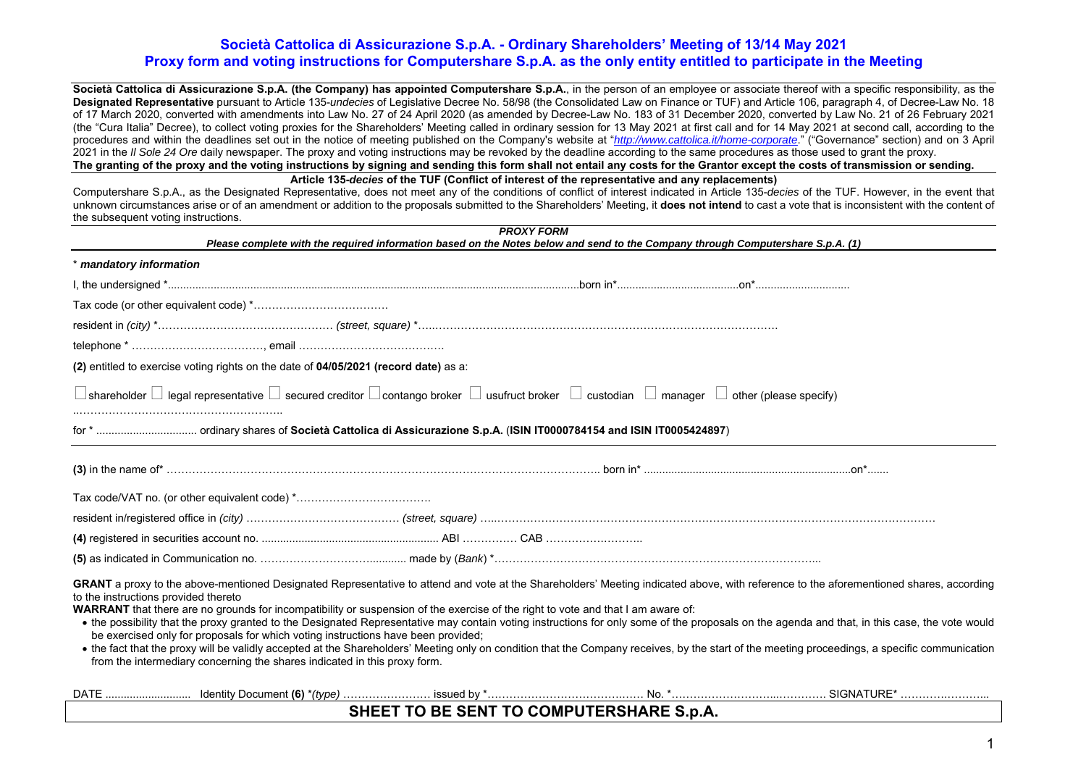**Società Cattolica di Assicurazione S.p.A. (the Company) has appointed Computershare S.p.A.**, in the person of an employee or associate thereof with a specific responsibility, as the **Designated Representative** pursuant to Article 135-*undecies* of Legislative Decree No. 58/98 (the Consolidated Law on Finance or TUF) and Article 106, paragraph 4, of Decree-Law No. 18 of 17 March 2020, converted with amendments into Law No. 27 of 24 April 2020 (as amended by Decree-Law No. 183 of 31 December 2020, converted by Law No. 21 of 26 February 2021 (the "Cura Italia" Decree), to collect voting proxies for the Shareholders' Meeting called in ordinary session for 13 May 2021 at first call and for 14 May 2021 at second call, according to the procedures and within the deadlines set out in the notice of meeting published on the Company's website at "*http://www.cattolica.it/home-corporate*." ("Governance" section) and on 3 April 2021 in the *Il Sole 24 Ore* daily newspaper. The proxy and voting instructions may be revoked by the deadline according to the same procedures as those used to grant the proxy. **The granting of the proxy and the voting instructions by signing and sending this form shall not entail any costs for the Grantor except the costs of transmission or sending.** 

**Article 135-***decies* **of the TUF (Conflict of interest of the representative and any replacements)** 

Computershare S.p.A., as the Designated Representative, does not meet any of the conditions of conflict of interest indicated in Article 135-*decies* of the TUF. However, in the event that unknown circumstances arise or of an amendment or addition to the proposals submitted to the Shareholders' Meeting, it **does not intend** to cast a vote that is inconsistent with the content of the subsequent voting instructions.

| <b>PROXY FORM</b><br>Please complete with the required information based on the Notes below and send to the Company through Computershare S.p.A. (1)                                                                                                                                                                                                                                                                                                                                                                                                                                                                                                                                                                                                                                                                                                                                                                                           |                                          |  |  |  |  |  |
|------------------------------------------------------------------------------------------------------------------------------------------------------------------------------------------------------------------------------------------------------------------------------------------------------------------------------------------------------------------------------------------------------------------------------------------------------------------------------------------------------------------------------------------------------------------------------------------------------------------------------------------------------------------------------------------------------------------------------------------------------------------------------------------------------------------------------------------------------------------------------------------------------------------------------------------------|------------------------------------------|--|--|--|--|--|
| * mandatory information                                                                                                                                                                                                                                                                                                                                                                                                                                                                                                                                                                                                                                                                                                                                                                                                                                                                                                                        |                                          |  |  |  |  |  |
|                                                                                                                                                                                                                                                                                                                                                                                                                                                                                                                                                                                                                                                                                                                                                                                                                                                                                                                                                |                                          |  |  |  |  |  |
|                                                                                                                                                                                                                                                                                                                                                                                                                                                                                                                                                                                                                                                                                                                                                                                                                                                                                                                                                |                                          |  |  |  |  |  |
|                                                                                                                                                                                                                                                                                                                                                                                                                                                                                                                                                                                                                                                                                                                                                                                                                                                                                                                                                |                                          |  |  |  |  |  |
|                                                                                                                                                                                                                                                                                                                                                                                                                                                                                                                                                                                                                                                                                                                                                                                                                                                                                                                                                |                                          |  |  |  |  |  |
| (2) entitled to exercise voting rights on the date of 04/05/2021 (record date) as a:                                                                                                                                                                                                                                                                                                                                                                                                                                                                                                                                                                                                                                                                                                                                                                                                                                                           |                                          |  |  |  |  |  |
| $\Box$ shareholder $\Box$ legal representative $\Box$ secured creditor $\Box$ contango broker $\Box$ usufruct broker $\Box$ custodian $\Box$ manager $\Box$ other (please specify)                                                                                                                                                                                                                                                                                                                                                                                                                                                                                                                                                                                                                                                                                                                                                             |                                          |  |  |  |  |  |
|                                                                                                                                                                                                                                                                                                                                                                                                                                                                                                                                                                                                                                                                                                                                                                                                                                                                                                                                                |                                          |  |  |  |  |  |
|                                                                                                                                                                                                                                                                                                                                                                                                                                                                                                                                                                                                                                                                                                                                                                                                                                                                                                                                                |                                          |  |  |  |  |  |
|                                                                                                                                                                                                                                                                                                                                                                                                                                                                                                                                                                                                                                                                                                                                                                                                                                                                                                                                                |                                          |  |  |  |  |  |
|                                                                                                                                                                                                                                                                                                                                                                                                                                                                                                                                                                                                                                                                                                                                                                                                                                                                                                                                                |                                          |  |  |  |  |  |
|                                                                                                                                                                                                                                                                                                                                                                                                                                                                                                                                                                                                                                                                                                                                                                                                                                                                                                                                                |                                          |  |  |  |  |  |
|                                                                                                                                                                                                                                                                                                                                                                                                                                                                                                                                                                                                                                                                                                                                                                                                                                                                                                                                                |                                          |  |  |  |  |  |
| GRANT a proxy to the above-mentioned Designated Representative to attend and vote at the Shareholders' Meeting indicated above, with reference to the aforementioned shares, according<br>to the instructions provided thereto<br><b>WARRANT</b> that there are no grounds for incompatibility or suspension of the exercise of the right to vote and that I am aware of:<br>• the possibility that the proxy granted to the Designated Representative may contain voting instructions for only some of the proposals on the agenda and that, in this case, the vote would<br>be exercised only for proposals for which voting instructions have been provided;<br>. the fact that the proxy will be validly accepted at the Shareholders' Meeting only on condition that the Company receives, by the start of the meeting proceedings, a specific communication<br>from the intermediary concerning the shares indicated in this proxy form. |                                          |  |  |  |  |  |
|                                                                                                                                                                                                                                                                                                                                                                                                                                                                                                                                                                                                                                                                                                                                                                                                                                                                                                                                                |                                          |  |  |  |  |  |
|                                                                                                                                                                                                                                                                                                                                                                                                                                                                                                                                                                                                                                                                                                                                                                                                                                                                                                                                                | SHEET TO BE SENT TO COMPUTERSHARE S.p.A. |  |  |  |  |  |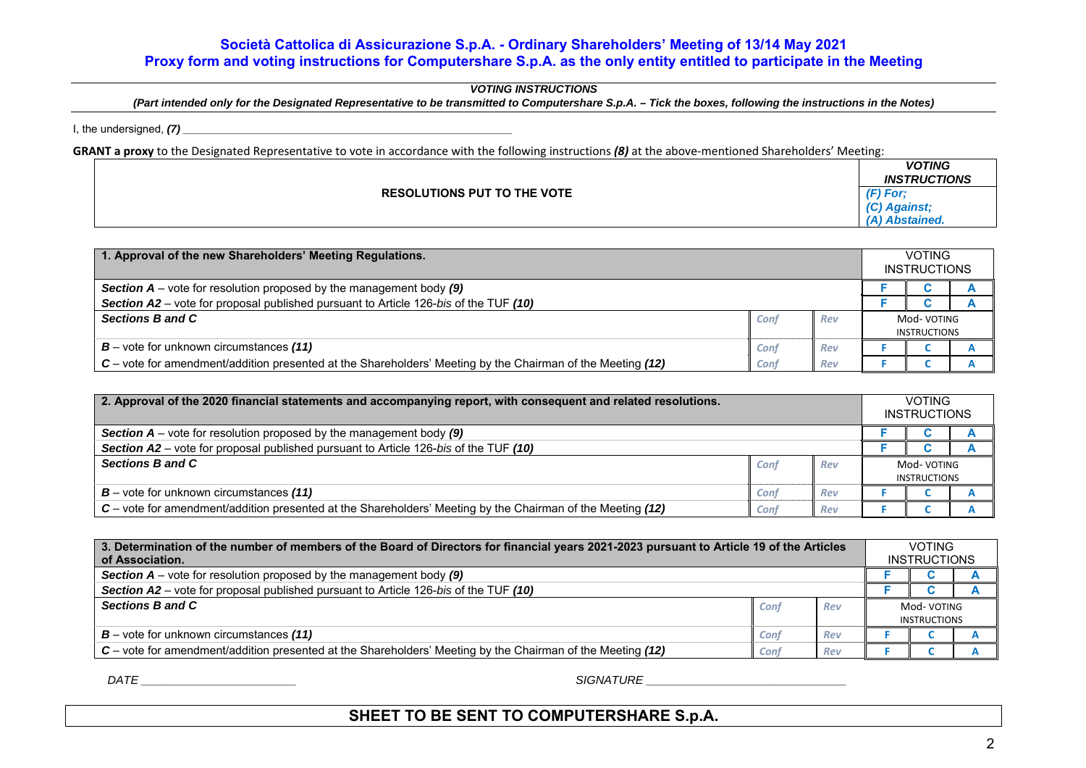### *VOTING INSTRUCTIONS*

*(Part intended only for the Designated Representative to be transmitted to Computershare S.p.A. – Tick the boxes, following the instructions in the Notes)* 

I, the undersigned, *(7) \_\_\_\_\_\_\_\_\_\_\_\_\_\_\_\_\_\_\_\_\_\_\_\_\_\_\_\_\_\_\_\_\_\_\_\_\_\_\_\_\_\_\_\_\_\_\_\_\_\_\_\_\_\_* 

GRANT a proxy to the Designated Representative to vote in accordance with the following instructions (8) at the above-mentioned Shareholders' Meeting:

| <b>RESOLUTIONS PUT TO THE VOTE</b><br>$(F)$ For:<br>$\sim$<br><b>Against</b> ; | <b>VOTING</b><br><b>INSTRUCTIONS</b> |
|--------------------------------------------------------------------------------|--------------------------------------|
|                                                                                | <b>Abstained.</b>                    |

| 1. Approval of the new Shareholders' Meeting Regulations.                                                  |      |     |                                   | <b>VOTING</b><br><b>INSTRUCTIONS</b> |  |  |
|------------------------------------------------------------------------------------------------------------|------|-----|-----------------------------------|--------------------------------------|--|--|
| <b>Section A</b> – vote for resolution proposed by the management body (9)                                 |      |     |                                   |                                      |  |  |
| <b>Section A2</b> – vote for proposal published pursuant to Article 126-bis of the TUF (10)                |      |     |                                   |                                      |  |  |
| Sections B and C                                                                                           | Conf | Rev | Mod-VOTING<br><b>INSTRUCTIONS</b> |                                      |  |  |
| $B$ – vote for unknown circumstances (11)                                                                  | Conf | Rev |                                   |                                      |  |  |
| C – vote for amendment/addition presented at the Shareholders' Meeting by the Chairman of the Meeting (12) | Conf | Rev |                                   |                                      |  |  |

| 2. Approval of the 2020 financial statements and accompanying report, with consequent and related resolutions. |      |     |                                   | <b>VOTING</b><br><b>INSTRUCTIONS</b> |  |
|----------------------------------------------------------------------------------------------------------------|------|-----|-----------------------------------|--------------------------------------|--|
| <b>Section A</b> – vote for resolution proposed by the management body $(9)$                                   |      |     |                                   |                                      |  |
| Section A2 – vote for proposal published pursuant to Article 126-bis of the TUF (10)                           |      |     |                                   |                                      |  |
| Sections B and C                                                                                               | Conf | Rev | Mod-VOTING<br><b>INSTRUCTIONS</b> |                                      |  |
| $B$ – vote for unknown circumstances (11)                                                                      | Conf | Rev |                                   |                                      |  |
| C – vote for amendment/addition presented at the Shareholders' Meeting by the Chairman of the Meeting (12)     | Conf | Rev |                                   |                                      |  |

| 3. Determination of the number of members of the Board of Directors for financial years 2021-2023 pursuant to Article 19 of the Articles<br>of Association. |      |     |                     | <b>VOTING</b><br><b>INSTRUCTIONS</b> |  |  |
|-------------------------------------------------------------------------------------------------------------------------------------------------------------|------|-----|---------------------|--------------------------------------|--|--|
| <b>Section A</b> – vote for resolution proposed by the management body $(9)$                                                                                |      |     |                     |                                      |  |  |
| Section A2 – vote for proposal published pursuant to Article 126-bis of the TUF (10)                                                                        |      |     |                     |                                      |  |  |
| Sections B and C                                                                                                                                            | Conf | Rev | Mod-VOTING          |                                      |  |  |
|                                                                                                                                                             |      |     | <b>INSTRUCTIONS</b> |                                      |  |  |
| $B$ – vote for unknown circumstances (11)                                                                                                                   | Conf | Rev |                     |                                      |  |  |
| C – vote for amendment/addition presented at the Shareholders' Meeting by the Chairman of the Meeting (12)                                                  | Conf | Rev |                     |                                      |  |  |

 $\mathsf{DATE}$  and  $\mathsf{DATE}$  and  $\mathsf{DATE}$  and  $\mathsf{DATE}$  and  $\mathsf{DATE}$  and  $\mathsf{DATE}$  and  $\mathsf{DATE}$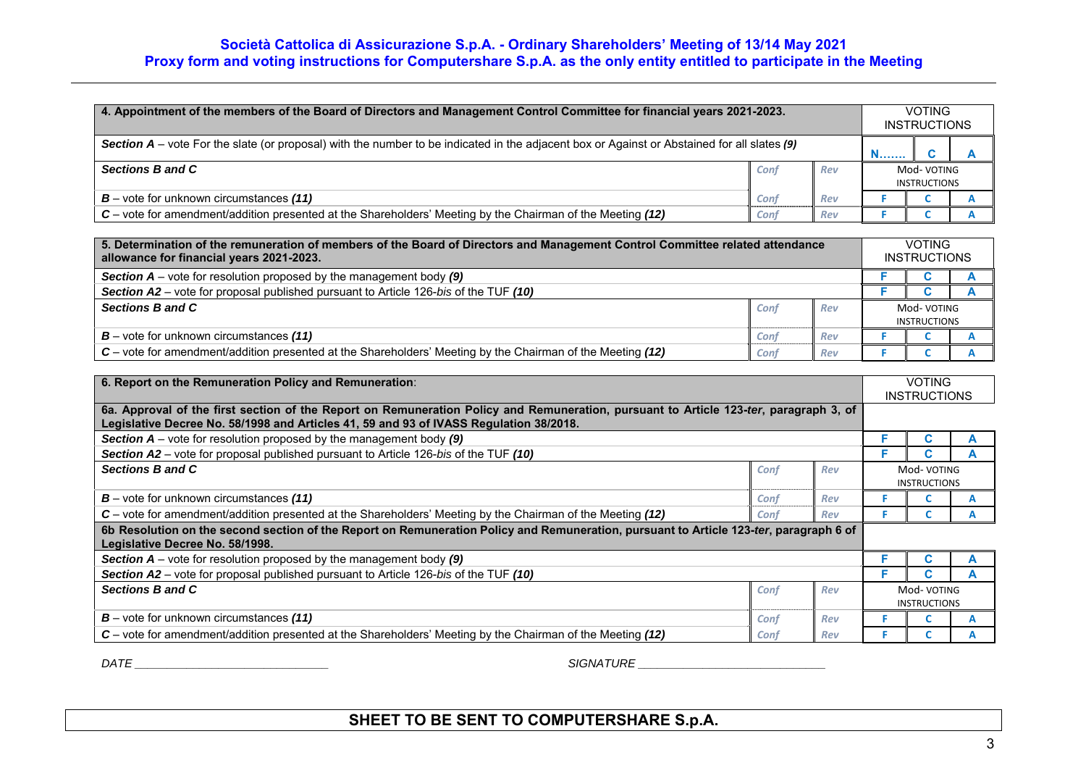| 4. Appointment of the members of the Board of Directors and Management Control Committee for financial years 2021-2023.                     |      |     |                                   | <b>VOTING</b><br><b>INSTRUCTIONS</b> |  |  |
|---------------------------------------------------------------------------------------------------------------------------------------------|------|-----|-----------------------------------|--------------------------------------|--|--|
| Section A – vote For the slate (or proposal) with the number to be indicated in the adjacent box or Against or Abstained for all slates (9) |      |     | <b>N</b>                          |                                      |  |  |
| Sections B and C                                                                                                                            | Conf | Rev | Mod-VOTING<br><b>INSTRUCTIONS</b> |                                      |  |  |
| $B$ – vote for unknown circumstances (11)                                                                                                   | Conf | Rev |                                   |                                      |  |  |
| C – vote for amendment/addition presented at the Shareholders' Meeting by the Chairman of the Meeting (12)                                  | Conf | Rev |                                   |                                      |  |  |

| 5. Determination of the remuneration of members of the Board of Directors and Management Control Committee related attendance<br>allowance for financial years 2021-2023. |      |     |                     | <b>VOTING</b><br><b>INSTRUCTIONS</b> |  |  |
|---------------------------------------------------------------------------------------------------------------------------------------------------------------------------|------|-----|---------------------|--------------------------------------|--|--|
| <b>Section <math>A</math></b> – vote for resolution proposed by the management body $(9)$                                                                                 |      |     |                     |                                      |  |  |
| Section A2 – vote for proposal published pursuant to Article 126-bis of the TUF (10)                                                                                      |      |     |                     |                                      |  |  |
| Sections B and C                                                                                                                                                          | Conf | Rev | Mod-VOTING          |                                      |  |  |
|                                                                                                                                                                           |      |     | <b>INSTRUCTIONS</b> |                                      |  |  |
| $B$ – vote for unknown circumstances (11)                                                                                                                                 | Conf | Rev |                     |                                      |  |  |
| C – vote for amendment/addition presented at the Shareholders' Meeting by the Chairman of the Meeting (12)                                                                | Conf | Rev |                     |                                      |  |  |

| 6. Report on the Remuneration Policy and Remuneration:                                                                                                                                                                          |             |     |                                    | <b>VOTING</b><br><b>INSTRUCTIONS</b> |  |  |
|---------------------------------------------------------------------------------------------------------------------------------------------------------------------------------------------------------------------------------|-------------|-----|------------------------------------|--------------------------------------|--|--|
| 6a. Approval of the first section of the Report on Remuneration Policy and Remuneration, pursuant to Article 123-ter, paragraph 3, of<br>Legislative Decree No. 58/1998 and Articles 41, 59 and 93 of IVASS Regulation 38/2018. |             |     |                                    |                                      |  |  |
| <b>Section A</b> – vote for resolution proposed by the management body $(9)$                                                                                                                                                    |             |     |                                    |                                      |  |  |
| Section A2 – vote for proposal published pursuant to Article 126-bis of the TUF (10)                                                                                                                                            |             |     |                                    |                                      |  |  |
| Sections B and C                                                                                                                                                                                                                | Conf<br>Rev |     |                                    | Mod- VOTING<br><b>INSTRUCTIONS</b>   |  |  |
| $B$ – vote for unknown circumstances (11)                                                                                                                                                                                       | Conf        | Rev |                                    |                                      |  |  |
| $C$ – vote for amendment/addition presented at the Shareholders' Meeting by the Chairman of the Meeting (12)                                                                                                                    | Conf<br>Rev |     |                                    |                                      |  |  |
| 6b Resolution on the second section of the Report on Remuneration Policy and Remuneration, pursuant to Article 123-ter, paragraph 6 of<br>Legislative Decree No. 58/1998.                                                       |             |     |                                    |                                      |  |  |
| <b>Section A</b> – vote for resolution proposed by the management body $(9)$                                                                                                                                                    |             |     |                                    |                                      |  |  |
| Section A2 – vote for proposal published pursuant to Article 126-bis of the TUF (10)                                                                                                                                            |             |     |                                    |                                      |  |  |
| Sections B and C                                                                                                                                                                                                                | Conf        | Rev | Mod- VOTING<br><b>INSTRUCTIONS</b> |                                      |  |  |
| $B$ – vote for unknown circumstances (11)                                                                                                                                                                                       | Conf        | Rev |                                    |                                      |  |  |
| $C$ – vote for amendment/addition presented at the Shareholders' Meeting by the Chairman of the Meeting (12)                                                                                                                    | Conf        | Rev |                                    |                                      |  |  |

 $\mathsf{DATE} \_\_\_\_\_\_\_\_$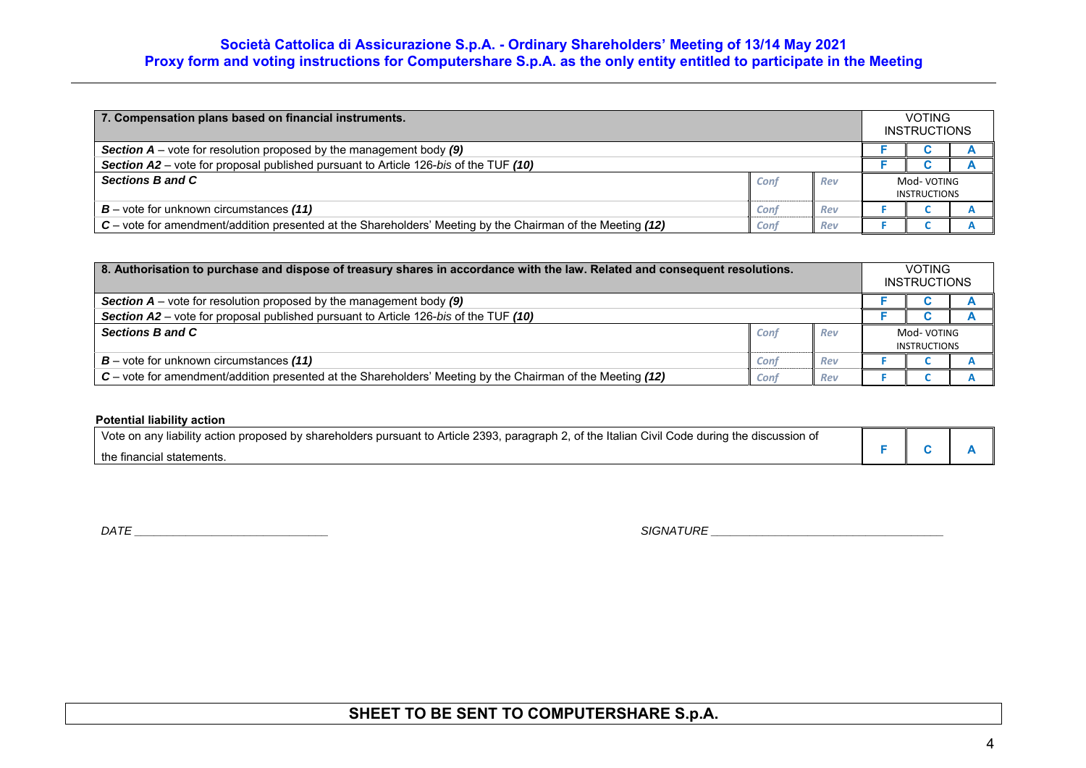| 7. Compensation plans based on financial instruments.                                                      |      |     |                     | <b>VOTING</b><br><b>INSTRUCTIONS</b> |  |
|------------------------------------------------------------------------------------------------------------|------|-----|---------------------|--------------------------------------|--|
| <b>Section A</b> – vote for resolution proposed by the management body $(9)$                               |      |     |                     |                                      |  |
| Section A2 – vote for proposal published pursuant to Article 126-bis of the TUF (10)                       |      |     |                     |                                      |  |
| Sections B and C                                                                                           | Conf | Rev | Mod- VOTING         |                                      |  |
|                                                                                                            |      |     | <b>INSTRUCTIONS</b> |                                      |  |
| $B$ – vote for unknown circumstances (11)                                                                  | Conf | Rev |                     |                                      |  |
| C – vote for amendment/addition presented at the Shareholders' Meeting by the Chairman of the Meeting (12) | Conf | Rev |                     |                                      |  |

| 8. Authorisation to purchase and dispose of treasury shares in accordance with the law. Related and consequent resolutions. |      |     |                     | <b>VOTING</b><br><b>INSTRUCTIONS</b> |  |  |
|-----------------------------------------------------------------------------------------------------------------------------|------|-----|---------------------|--------------------------------------|--|--|
| <b>Section A</b> – vote for resolution proposed by the management body $(9)$                                                |      |     |                     |                                      |  |  |
| Section A2 – vote for proposal published pursuant to Article 126-bis of the TUF (10)                                        |      |     |                     |                                      |  |  |
| Sections B and C                                                                                                            | Conf | Rev | Mod- VOTING         |                                      |  |  |
|                                                                                                                             |      |     | <b>INSTRUCTIONS</b> |                                      |  |  |
| $B$ – vote for unknown circumstances (11)                                                                                   | Conf | Rev |                     |                                      |  |  |
| C – vote for amendment/addition presented at the Shareholders' Meeting by the Chairman of the Meeting (12)                  | Conf | Rev |                     |                                      |  |  |

### **Potential liability action**

| Vote on any liability action proposed by shareholders pursuant to Article 2393, paragraph 2, of the Italian Civil Code during the discussion of |  |  |
|-------------------------------------------------------------------------------------------------------------------------------------------------|--|--|
| the financial statements.                                                                                                                       |  |  |

*DATE \_\_\_\_\_\_\_\_\_\_\_\_\_\_\_\_\_\_\_\_\_\_\_\_\_\_\_\_\_\_ SIGNATURE \_\_\_\_\_\_\_\_\_\_\_\_\_\_\_\_\_\_\_\_\_\_\_\_\_\_\_\_\_\_\_\_\_\_\_\_*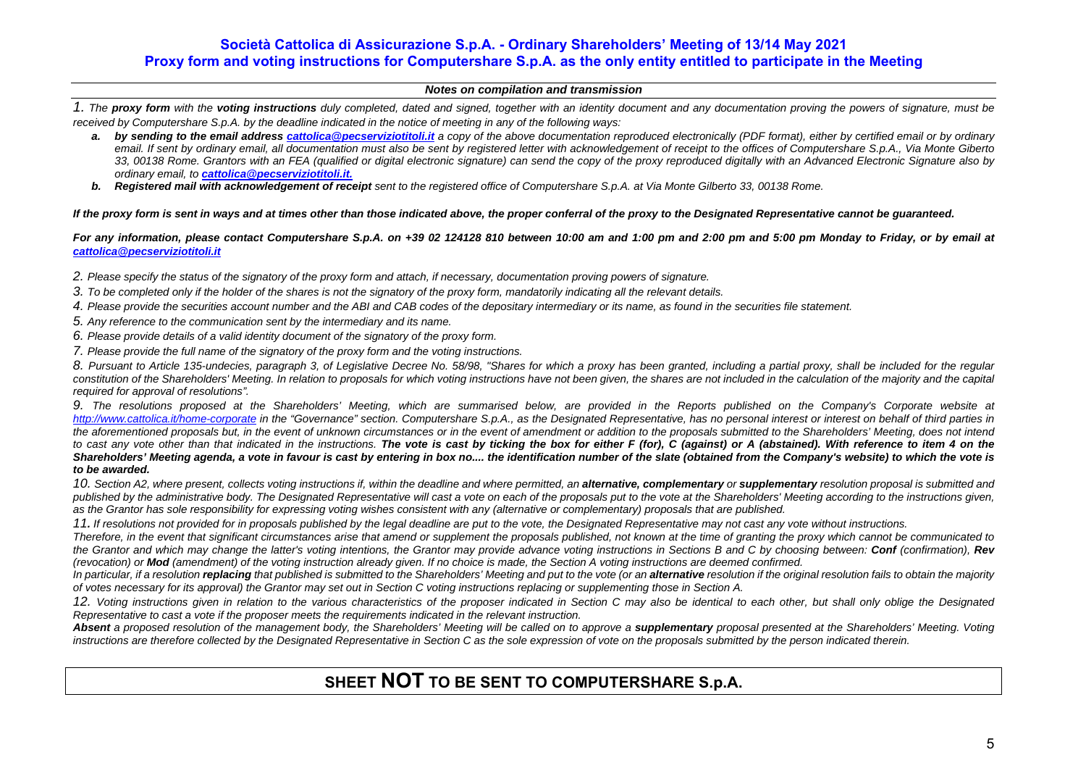#### *Notes on compilation and transmission*

*1. The proxy form with the voting instructions duly completed, dated and signed, together with an identity document and any documentation proving the powers of signature, must be received by Computershare S.p.A. by the deadline indicated in the notice of meeting in any of the following ways:* 

- a. by sending to the email address cattolica@pecserviziotitoli.it a copy of the above documentation reproduced electronically (PDF format), either by certified email or by ordinary email. If sent by ordinary email, all documentation must also be sent by registered letter with acknowledgement of receipt to the offices of Computershare S.p.A., Via Monte Giberto *33, 00138 Rome. Grantors with an FEA (qualified or digital electronic signature) can send the copy of the proxy reproduced digitally with an Advanced Electronic Signature also by ordinary email, to cattolica@pecserviziotitoli.it.*
- **b.** Registered mail with acknowledgement of receipt sent to the registered office of Computershare S.p.A. at Via Monte Gilberto 33, 00138 Rome.

#### *If the proxy form is sent in ways and at times other than those indicated above, the proper conferral of the proxy to the Designated Representative cannot be guaranteed.*

*For any information, please contact Computershare S.p.A. on +39 02 124128 810 between 10:00 am and 1:00 pm and 2:00 pm and 5:00 pm Monday to Friday, or by email at cattolica@pecserviziotitoli.it*

*2. Please specify the status of the signatory of the proxy form and attach, if necessary, documentation proving powers of signature.* 

- *3. To be completed only if the holder of the shares is not the signatory of the proxy form, mandatorily indicating all the relevant details.*
- *4. Please provide the securities account number and the ABI and CAB codes of the depositary intermediary or its name, as found in the securities file statement.*
- *5. Any reference to the communication sent by the intermediary and its name.*
- *6. Please provide details of a valid identity document of the signatory of the proxy form.*
- *7. Please provide the full name of the signatory of the proxy form and the voting instructions.*

*8. Pursuant to Article 135-undecies, paragraph 3, of Legislative Decree No. 58/98, "Shares for which a proxy has been granted, including a partial proxy, shall be included for the regular constitution of the Shareholders' Meeting. In relation to proposals for which voting instructions have not been given, the shares are not included in the calculation of the majority and the capital required for approval of resolutions".* 

9. The resolutions proposed at the Shareholders' Meeting, which are summarised below, are provided in the Reports published on the Company's Corporate website at *http://www.cattolica.it/home-corporate in the "Governance" section. Computershare S.p.A., as the Designated Representative, has no personal interest or interest on behalf of third parties in the aforementioned proposals but, in the event of unknown circumstances or in the event of amendment or addition to the proposals submitted to the Shareholders' Meeting, does not intend*  to cast any vote other than that indicated in the instructions. The vote is cast by ticking the box for either F (for), C (against) or A (abstained). With reference to item 4 on the *Shareholders' Meeting agenda, a vote in favour is cast by entering in box no.... the identification number of the slate (obtained from the Company's website) to which the vote is to be awarded.* 

10. Section A2, where present, collects voting instructions if, within the deadline and where permitted, an **alternative, complementary** or **supplementary** resolution proposal is submitted and published by the administrative body. The Designated Representative will cast a vote on each of the proposals put to the vote at the Shareholders' Meeting according to the instructions given, *as the Grantor has sole responsibility for expressing voting wishes consistent with any (alternative or complementary) proposals that are published.* 

*11. If resolutions not provided for in proposals published by the legal deadline are put to the vote, the Designated Representative may not cast any vote without instructions.* 

*Therefore, in the event that significant circumstances arise that amend or supplement the proposals published, not known at the time of granting the proxy which cannot be communicated to the Grantor and which may change the latter's voting intentions, the Grantor may provide advance voting instructions in Sections B and C by choosing between: Conf (confirmation), Rev (revocation) or Mod (amendment) of the voting instruction already given. If no choice is made, the Section A voting instructions are deemed confirmed.* 

In particular, if a resolution replacing that published is submitted to the Shareholders' Meeting and put to the vote (or an alternative resolution if the original resolution fails to obtain the majority *of votes necessary for its approval) the Grantor may set out in Section C voting instructions replacing or supplementing those in Section A.* 

12. Voting instructions given in relation to the various characteristics of the proposer indicated in Section C may also be identical to each other, but shall only oblige the Designated *Representative to cast a vote if the proposer meets the requirements indicated in the relevant instruction.* 

**Absent** a proposed resolution of the management body, the Shareholders' Meeting will be called on to approve a **supplementary** proposal presented at the Shareholders' Meeting. Voting *instructions are therefore collected by the Designated Representative in Section C as the sole expression of vote on the proposals submitted by the person indicated therein.*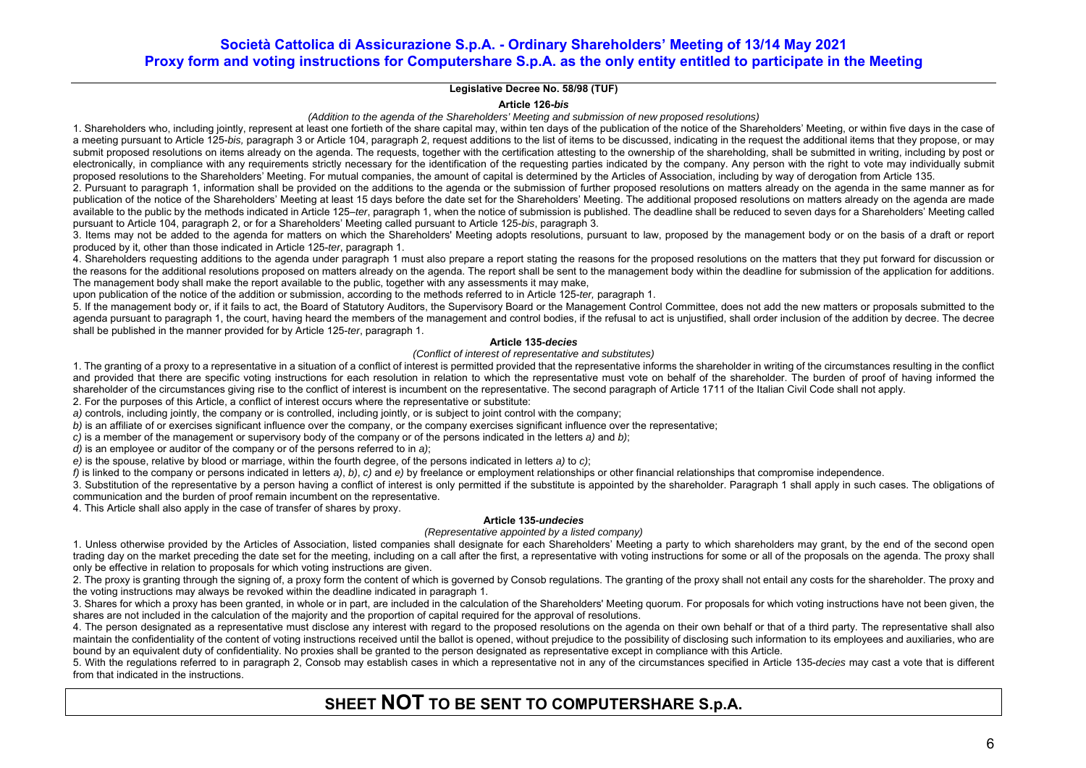#### **Legislative Decree No. 58/98 (TUF)**

**Article 126-***bis*

*(Addition to the agenda of the Shareholders' Meeting and submission of new proposed resolutions)* 

1. Shareholders who, including jointly, represent at least one fortieth of the share capital may, within ten days of the publication of the notice of the Shareholders' Meeting, or within five days in the case of a meeting pursuant to Article 125-*bis, paragraph* 3 or Article 104, paragraph 2, request additions to the list of items to be discussed, indicating in the request the additional items that they propose, or may submit proposed resolutions on items already on the agenda. The requests, together with the certification attesting to the ownership of the shareholding, shall be submitted in writing, including by post or electronically, in compliance with any requirements strictly necessary for the identification of the requesting parties indicated by the company. Any person with the right to yote may individually submit proposed resolutions to the Shareholders' Meeting. For mutual companies, the amount of capital is determined by the Articles of Association, including by way of derogation from Article 135.

2. Pursuant to paragraph 1, information shall be provided on the additions to the agenda or the submission of further proposed resolutions on matters already on the agenda in the same manner as for publication of the notice of the Shareholders' Meeting at least 15 days before the date set for the Shareholders' Meeting. The additional proposed resolutions on matters already on the agenda are made available to the public by the methods indicated in Article 125–*ter*, paragraph 1, when the notice of submission is published. The deadline shall be reduced to seven days for a Shareholders' Meeting called pursuant to Article 104, paragraph 2, or for a Shareholders' Meeting called pursuant to Article 125-*bis*, paragraph 3.

3. Items may not be added to the agenda for matters on which the Shareholders' Meeting adopts resolutions, pursuant to law, proposed by the management body or on the basis of a draft or report produced by it, other than those indicated in Article 125-*ter*, paragraph 1.

4. Shareholders requesting additions to the agenda under paragraph 1 must also prepare a report stating the reasons for the proposed resolutions on the matters that they put forward for discussion or the reasons for the additional resolutions proposed on matters already on the agenda. The report shall be sent to the management body within the deadline for submission of the application for additions. The management body shall make the report available to the public, together with any assessments it may make,

upon publication of the notice of the addition or submission, according to the methods referred to in Article 125-*ter,* paragraph 1.

5. If the management body or, if it fails to act, the Board of Statutory Auditors, the Supervisory Board or the Management Control Committee, does not add the new matters or proposals submitted to the agenda pursuant to paragraph 1, the court, having heard the members of the management and control bodies, if the refusal to act is unjustified, shall order inclusion of the addition by decree. The decree shall be published in the manner provided for by Article 125-*ter*, paragraph 1.

#### **Article 135***-decies*

#### *(Conflict of interest of representative and substitutes)*

1. The granting of a proxy to a representative in a situation of a conflict of interest is permitted provided that the representative informs the shareholder in writing of the circumstances resulting in the conflict and provided that there are specific voting instructions for each resolution in relation to which the representative must vote on behalf of the shareholder. The burden of proof of having informed the shareholder of the circumstances giving rise to the conflict of interest is incumbent on the representative. The second paragraph of Article 1711 of the Italian Civil Code shall not apply.

2. For the purposes of this Article, a conflict of interest occurs where the representative or substitute:

*a)* controls, including jointly, the company or is controlled, including jointly, or is subject to joint control with the company;

*b)* is an affiliate of or exercises significant influence over the company, or the company exercises significant influence over the representative;

*c)* is a member of the management or supervisory body of the company or of the persons indicated in the letters *a)* and *b)*;

*d)* is an employee or auditor of the company or of the persons referred to in *a)*;

*e)* is the spouse, relative by blood or marriage, within the fourth degree, of the persons indicated in letters *a)* to *c)*;

*f)* is linked to the company or persons indicated in letters *a)*, *b)*, *c)* and *e)* by freelance or employment relationships or other financial relationships that compromise independence.

3. Substitution of the representative by a person having a conflict of interest is only permitted if the substitute is appointed by the shareholder. Paragraph 1 shall apply in such cases. The obligations of communication and the burden of proof remain incumbent on the representative.

4. This Article shall also apply in the case of transfer of shares by proxy.

#### **Article 135***-undecies*

#### *(Representative appointed by a listed company)*

1. Unless otherwise provided by the Articles of Association, listed companies shall designate for each Shareholders' Meeting a party to which shareholders may grant, by the end of the second open trading day on the market preceding the date set for the meeting, including on a call after the first, a representative with voting instructions for some or all of the proposals on the agenda. The proxy shall only be effective in relation to proposals for which voting instructions are given.

2. The proxy is granting through the signing of, a proxy form the content of which is governed by Consob regulations. The granting of the proxy shall not entail any costs for the shareholder. The proxy and the voting instructions may always be revoked within the deadline indicated in paragraph 1.

3. Shares for which a proxy has been granted, in whole or in part, are included in the calculation of the Shareholders' Meeting quorum. For proposals for which voting instructions have not been given, the shares are not included in the calculation of the majority and the proportion of capital required for the approval of resolutions.

4. The person designated as a representative must disclose any interest with regard to the proposed resolutions on the agenda on their own behalf or that of a third party. The representative shall also maintain the confidentiality of the content of voting instructions received until the ballot is opened, without prejudice to the possibility of disclosing such information to its employees and auxiliaries, who are bound by an equivalent duty of confidentiality. No proxies shall be granted to the person designated as representative except in compliance with this Article.

5. With the regulations referred to in paragraph 2, Consob may establish cases in which a representative not in any of the circumstances specified in Article 135-*decies* may cast a vote that is different from that indicated in the instructions.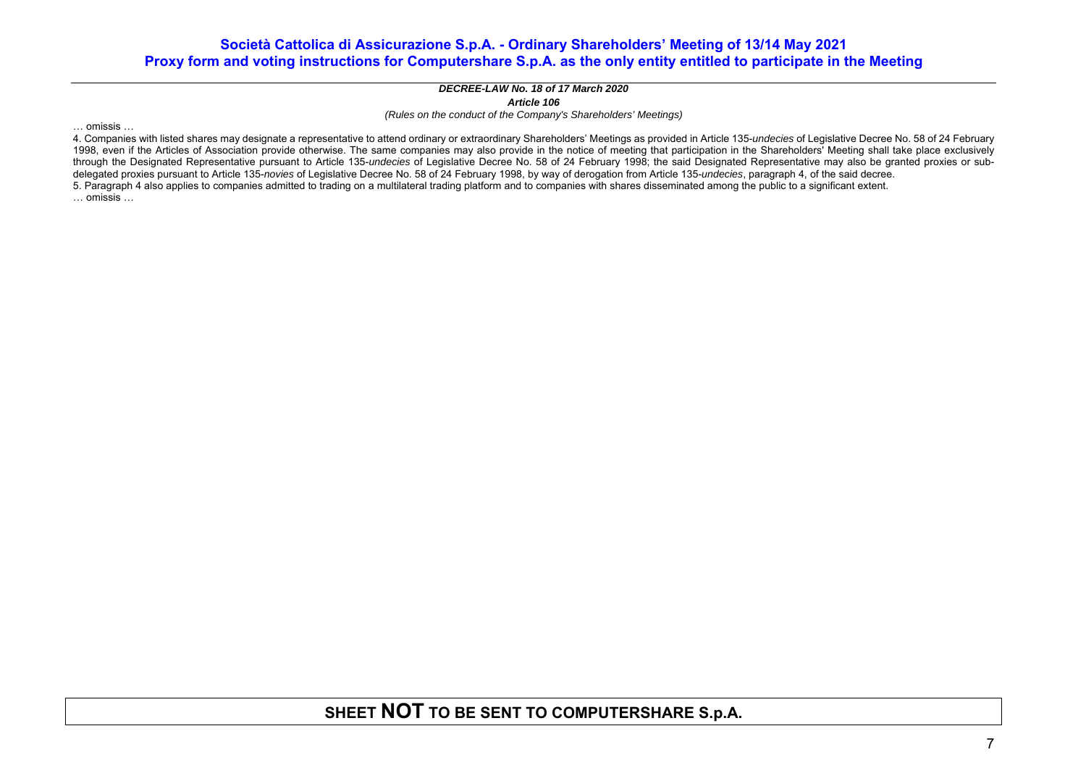#### *DECREE-LAW No. 18 of 17 March 2020 Article 106*

*(Rules on the conduct of the Company's Shareholders' Meetings)* 

… omissis …

4. Companies with listed shares may designate a representative to attend ordinary or extraordinary Shareholders' Meetings as provided in Article 135-*undecies* of Legislative Decree No. 58 of 24 February 1998, even if the Articles of Association provide otherwise. The same companies may also provide in the notice of meeting that participation in the Shareholders' Meeting shall take place exclusively through the Designated Representative pursuant to Article 135-*undecies* of Legislative Decree No. 58 of 24 February 1998; the said Designated Representative may also be granted proxies or subdelegated proxies pursuant to Article 135-*novies* of Legislative Decree No. 58 of 24 February 1998, by way of derogation from Article 135-*undecies*, paragraph 4, of the said decree. 5. Paragraph 4 also applies to companies admitted to trading on a multilateral trading platform and to companies with shares disseminated among the public to a significant extent. … omissis …